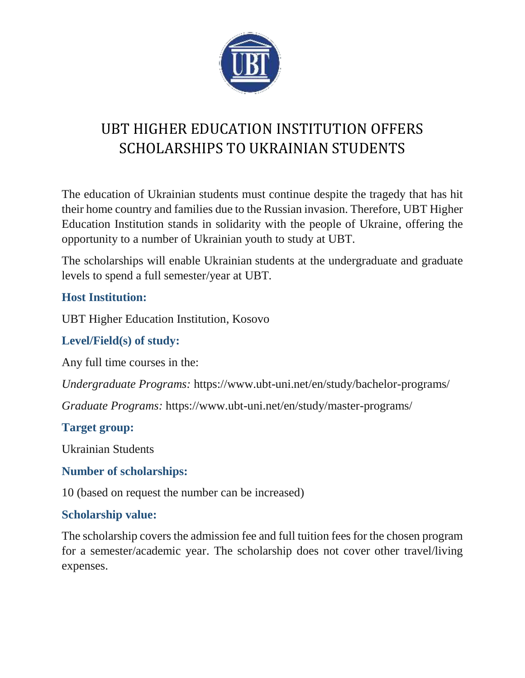

# UBT HIGHER EDUCATION INSTITUTION OFFERS SCHOLARSHIPS TO UKRAINIAN STUDENTS

The education of Ukrainian students must continue despite the tragedy that has hit their home country and families due to the Russian invasion. Therefore, UBT Higher Education Institution stands in solidarity with the people of Ukraine, offering the opportunity to a number of Ukrainian youth to study at UBT.

The scholarships will enable Ukrainian students at the undergraduate and graduate levels to spend a full semester/year at UBT.

# **Host Institution:**

UBT Higher Education Institution, Kosovo

### **Level/Field(s) of study:**

Any full time courses in the:

*Undergraduate Programs:* <https://www.ubt-uni.net/en/study/bachelor-programs/>

*Graduate Programs:* <https://www.ubt-uni.net/en/study/master-programs/>

#### **Target group:**

Ukrainian Students

#### **Number of scholarships:**

10 (based on request the number can be increased)

#### **Scholarship value:**

The scholarship covers the admission fee and full tuition fees for the chosen program for a semester/academic year. The scholarship does not cover other travel/living expenses.